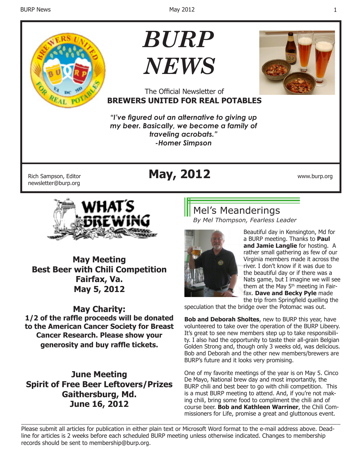

# *BURP NEWS*



### The Official Newsletter of **BREWERS UNITED FOR REAL POTABLES**

*"I've figured out an alternative to giving up my beer. Basically, we become a family of traveling acrobats." -Homer Simpson*

newsletter@burp.org

# Rich Sampson, Editor **May, 2012** www.burp.org



**May Meeting Best Beer with Chili Competition Fairfax, Va. May 5, 2012**

## **May Charity:**

**1/2 of the raffle proceeds will be donated to the American Cancer Society for Breast Cancer Research. Please show your generosity and buy raffle tickets.**

**June Meeting Spirit of Free Beer Leftovers/Prizes Gaithersburg, Md. June 16, 2012**

## Mel's Meanderings

*By Mel Thompson, Fearless Leader*



Beautiful day in Kensington, Md for a BURP meeting. Thanks to **Paul and Jamie Langlie** for hosting. A rather small gathering as few of our Virginia members made it across the river. I don't know if it was due to the beautiful day or if there was a Nats game, but I imagine we will see them at the May  $5<sup>th</sup>$  meeting in Fairfax. **Dave and Becky Pyle** made the trip from Springfield quelling the

speculation that the bridge over the Potomac was out.

**Bob and Deborah Sholtes**, new to BURP this year, have volunteered to take over the operation of the BURP Libeery. It's great to see new members step up to take responsibility. I also had the opportunity to taste their all-grain Belgian Golden Strong and, though only 3 weeks old, was delicious. Bob and Deborah and the other new members/brewers are BURP's future and it looks very promising.

One of my favorite meetings of the year is on May 5. Cinco De Mayo, National brew day and most importantly, the BURP chili and best beer to go with chili competition. This is a must BURP meeting to attend. And, if you're not making chili, bring some food to compliment the chili and of course beer. **Bob and Kathleen Warriner**, the Chili Commissioners for Life, promise a great and gluttonous event.

\_\_\_\_\_\_\_\_\_\_\_\_\_\_\_\_\_\_\_\_\_\_\_\_\_\_\_\_\_\_\_\_\_\_\_\_\_\_\_\_\_\_\_\_\_\_\_\_\_\_\_\_\_\_\_\_\_\_\_\_\_\_\_\_\_\_\_\_\_\_\_\_\_\_\_\_\_\_\_\_\_\_\_\_\_\_\_\_\_\_ Please submit all articles for publication in either plain text or Microsoft Word format to the e-mail address above. Deadline for articles is 2 weeks before each scheduled BURP meeting unless otherwise indicated. Changes to membership records should be sent to membership@burp.org.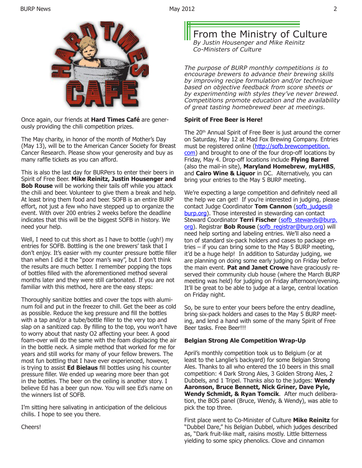



Once again, our friends at **Hard Times Café** are generously providing the chili competition prizes.

The May charity, in honor of the month of Mother's Day (May 13), will be to the American Cancer Society for Breast Cancer Research. Please show your generosity and buy as many raffle tickets as you can afford.

This is also the last day for BURPers to enter their beers in Spirit of Free Beer. **Mike Reinitz, Justin Housenger and Bob Rouse** will be working their tails off while you attack the chili and beer. Volunteer to give them a break and help. At least bring them food and beer. SOFB is an entire BURP effort, not just a few who have stepped up to organize the event. With over 200 entries 2 weeks before the deadline indicates that this will be the biggest SOFB in history. We need your help.

Well, I need to cut this short as I have to bottle (ugh!) my entries for SOFB. Bottling is the one brewers' task that I don't enjoy. It's easier with my counter pressure bottle filler than when I did it the "poor man's way", but I don't think the results are much better. I remember popping the tops of bottles filled with the aforementioned method several months later and they were still carbonated. If you are not familiar with this method, here are the easy steps:

Thoroughly sanitize bottles and cover the tops with aluminum foil and put in the freezer to chill. Get the beer as cold as possible. Reduce the keg pressure and fill the bottles with a tap and/or a tube/bottle filler to the very top and slap on a sanitized cap. By filling to the top, you won't have to worry about that nasty O2 affecting your beer. A good foam-over will do the same with the foam displacing the air in the bottle neck. A simple method that worked for me for years and still works for many of your fellow brewers. The most fun bottling that I have ever experienced, however, is trying to assist **Ed Bielaus** fill bottles using his counter pressure filler. We ended up wearing more beer than got in the bottles. The beer on the ceiling is another story. I believe Ed has a beer gun now. You will see Ed's name on the winners list of SOFB.

I'm sitting here salivating in anticipation of the delicious chilis. I hope to see you there.

From the Ministry of Culture *By Justin Housenger and Mike Reinitz Co-Ministers of Culture*

*The purpose of BURP monthly competitions is to encourage brewers to advance their brewing skills by improving recipe formulation and/or technique based on objective feedback from score sheets or by experimenting with styles they've never brewed. Competitions promote education and the availability of great tasting homebrewed beer at meetings.*

#### **Spirit of Free Beer is Here!**

The 20<sup>th</sup> Annual Spirit of Free Beer is just around the corner on Saturday, May 12 at Mad Fox Brewing Company. Entries must be registered online (http://sofb.brewcompetition. com) and brought to one of the four drop-off locations by Friday, May 4. Drop-off locations include **Flying Barrel** (also the mail-in site), **Maryland Homebrew**, **myLHBS**, and **Cairo Wine & Liquor** in DC. Alternatively, you can bring your entries to the May 5 BURP meeting.

We're expecting a large competition and definitely need all the help we can get! If you're interested in judging, please contact Judge Coordinator Tom Cannon (sofb\_judges@ burp.org). Those interested in stewarding can contact Steward Coordinator **Terri Fischer** (sofb stewards@burp. org). Registrar **Bob Rouse** (sofb\_registrar@burp.org) will need help sorting and labeling entries. We'll also need a ton of standard six-pack holders and cases to package entries – if you can bring some to the May 5 BURP meeting, it'd be a huge help! In addition to Saturday judging, we are planning on doing some early judging on Friday before the main event. **Pat and Janet Crowe** have graciously reserved their community club house (where the March BURP meeting was held) for judging on Friday afternoon/evening. It'll be great to be able to judge at a large, central location on Friday night.

So, be sure to enter your beers before the entry deadline, bring six-pack holders and cases to the May 5 BURP meeting, and lend a hand with some of the many Spirit of Free Beer tasks. Free Beer!!!

#### **Belgian Strong Ale Competition Wrap-Up**

April's monthly competition took us to Belgium (or at least to the Langlie's backyard) for some Belgian Strong Ales. Thanks to all who entered the 10 beers in this small competition: 4 Dark Strong Ales, 3 Golden Strong Ales, 2 Dubbels, and 1 Tripel. Thanks also to the judges: **Wendy Aaronson, Bruce Bennett, Nick Griner, Dave Pyle, Wendy Schmidt, & Ryan Tomcik**. After much deliberation, the BOS panel (Bruce, Wendy, & Wendy), was able to pick the top three.

First place went to Co-Minister of Culture **Mike Reinitz** for "Dubbel Dare," his Belgian Dubbel, which judges described as, "Dark fruit-like malt, raisins mostly. Little bitterness yielding to some spicy phenolics. Clove and cinnamon

Cheers!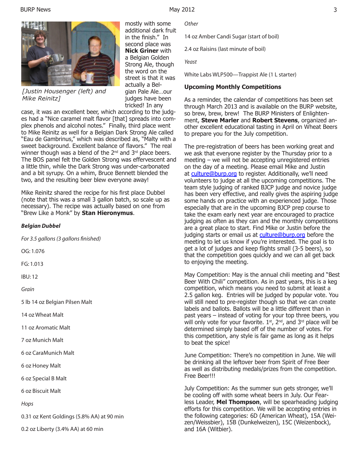

*[Justin Housenger (left) and Mike Reinitz]*

mostly with some additional dark fruit in the finish." In second place was **Nick Griner** with a Belgian Golden Strong Ale, though the word on the street is that it was actually a Belgian Pale Ale…our judges have been tricked! In any

case, it was an excellent beer, which according to the judges had a "Nice caramel malt flavor [that] spreads into complex phenols and alcohol notes." Finally, third place went to Mike Reinitz as well for a Belgian Dark Strong Ale called "Eau de Gambrinus," which was described as, "Malty with a sweet background. Excellent balance of flavors." The real winner though was a blend of the 2<sup>nd</sup> and 3<sup>rd</sup> place beers. The BOS panel felt the Golden Strong was effervescent and a little thin, while the Dark Strong was under-carbonated and a bit syrupy. On a whim, Bruce Bennett blended the two, and the resulting beer blew everyone away!

Mike Reinitz shared the recipe for his first place Dubbel (note that this was a small 3 gallon batch, so scale up as necessary). The recipe was actually based on one from "Brew Like a Monk" by **Stan Hieronymus**.

#### *Belgian Dubbel*

*For 3.5 gallons (3 gallons finished)*

OG: 1.076

FG: 1.013

IBU: 12

*Grain*

5 lb 14 oz Belgian Pilsen Malt

14 oz Wheat Malt

11 oz Aromatic Malt

7 oz Munich Malt

6 oz CaraMunich Malt

6 oz Honey Malt

6 oz Special B Malt

6 oz Biscuit Malt

*Hops*

0.31 oz Kent Goldings (5.8% AA) at 90 min

0.2 oz Liberty (3.4% AA) at 60 min

*Other*

14 oz Amber Candi Sugar (start of boil)

2.4 oz Raisins (last minute of boil)

*Yeast*

White Labs WLP500—Trappist Ale (1 L starter)

#### **Upcoming Monthly Competitions**

As a reminder, the calendar of competitions has been set through March 2013 and is available on the BURP website, so brew, brew, brew! The BURP Ministers of Enlightenment, **Steve Marler** and **Robert Stevens**, organized another excellent educational tasting in April on Wheat Beers to prepare you for the July competition.

The pre-registration of beers has been working great and we ask that everyone register by the Thursday prior to a meeting – we will not be accepting unregistered entries on the day of a meeting. Please email Mike and Justin at culture@burp.org to register. Additionally, we'll need volunteers to judge at all the upcoming competitions. The team style judging of ranked BJCP judge and novice judge has been very effective, and really gives the aspiring judge some hands on practice with an experienced judge. Those especially that are in the upcoming BJCP prep course to take the exam early next year are encouraged to practice judging as often as they can and the monthly competitions are a great place to start. Find Mike or Justin before the judging starts or email us at culture@burp.org before the meeting to let us know if you're interested. The goal is to get a lot of judges and keep flights small (3-5 beers), so that the competition goes quickly and we can all get back to enjoying the meeting.

May Competition: May is the annual chili meeting and "Best Beer With Chili" competition. As in past years, this is a keg competition, which means you need to submit at least a 2.5 gallon keg. Entries will be judged by popular vote. You will still need to pre-register though so that we can create labels and ballots. Ballots will be a little different than in past years – instead of voting for your top three beers, you will only vote for your favorite.  $1<sup>st</sup>$ ,  $2<sup>nd</sup>$ , and  $3<sup>rd</sup>$  place will be determined simply based off of the number of votes. For this competition, any style is fair game as long as it helps to beat the spice!

June Competition: There's no competition in June. We will be drinking all the leftover beer from Spirit of Free Beer as well as distributing medals/prizes from the competition. Free Beer!!!

July Competition: As the summer sun gets stronger, we'll be cooling off with some wheat beers in July. Our Fearless Leader, **Mel Thompson**, will be spearheading judging efforts for this competition. We will be accepting entries in the following categories: 6D (American Wheat), 15A (Weizen/Weissbier), 15B (Dunkelweizen), 15C (Weizenbock), and 16A (Witbier).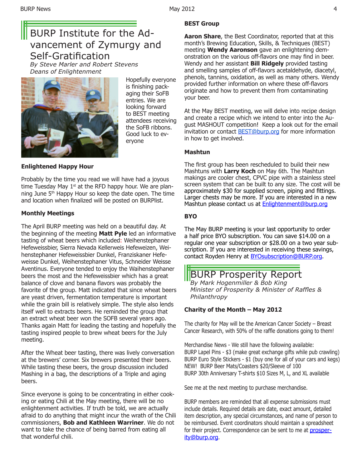## BURP Institute for the Advancement of Zymurgy and Self-Gratification

*By Steve Marler and Robert Stevens Deans of Enlightenment* 



Hopefully everyone is finishing packaging their SoFB entries. We are looking forward to BEST meeting attendees receiving the SoFB ribbons. Good luck to everyone

#### **Enlightened Happy Hour**

Probably by the time you read we will have had a joyous time Tuesday May  $1<sup>st</sup>$  at the RFD happy hour. We are planning June 5th Happy Hour so keep the date open. The time and location when finalized will be posted on BURPlist.

#### **Monthly Meetings**

The April BURP meeting was held on a beautiful day. At the beginning of the meeting **Matt Pyle** led an informative tasting of wheat beers which included: Weihenstephaner Hefeweissbier, Sierra Nevada Kellerweis Hefeweizen, Weihenstephaner Hefeweissbier Dunkel, Franziskaner Hefeweisse Dunkel, Weihenstephaner Vitus, Schneider Weisse Aventinus. Everyone tended to enjoy the Waihenstephaner beers the most and the Hefeweissbier which has a great balance of clove and banana flavors was probably the favorite of the group. Matt indicated that since wheat beers are yeast driven, fermentation temperature is important while the grain bill is relatively simple. The style also lends itself well to extracts beers. He reminded the group that an extract wheat beer won the SOFB several years ago. Thanks again Matt for leading the tasting and hopefully the tasting inspired people to brew wheat beers for the July meeting.

After the Wheat beer tasting, there was lively conversation at the brewers' corner. Six brewers presented their beers. While tasting these beers, the group discussion included Mashing in a bag, the descriptions of a Triple and aging beers.

Since everyone is going to be concentrating in either cooking or eating Chili at the May meeting, there will be no enlightenment activities. If truth be told, we are actually afraid to do anything that might incur the wrath of the Chili commissioners, **Bob and Kathleen Warriner**. We do not want to take the chance of being barred from eating all that wonderful chili.

#### **BEST Group**

**Aaron Share**, the Best Coordinator, reported that at this month's Brewing Education, Skills, & Techniques (BEST) meeting **Wendy Aaronson** gave an enlightening demonstration on the various off-flavors one may find in beer. Wendy and her assistant **Bill Ridgely** provided tasting and smelling samples of off-flavors acetaldehyde, diacetyl, phenols, tannins, oxidation, as well as many others. Wendy provided further information on where these off-flavors originate and how to prevent them from contaminating your beer.

At the May BEST meeting, we will delve into recipe design and create a recipe which we intend to enter into the August MASHOUT competition! Keep a look out for the email invitation or contact **BEST@burp.org** for more information in how to get involved.

#### **Mashtun**

The first group has been rescheduled to build their new Mashtuns with **Larry Koch** on May 6th. The Mashtun makings are cooler chest, CPVC pipe with a stainless steel screen system that can be built to any size. The cost will be approximately \$30 for supplied screen, piping and fittings. Larger chests may be more. If you are interested in a new Mashtun please contact us at **Enlightenment@burp.org** 

#### **BYO**

The May BURP meeting is your last opportunity to order a half price BYO subscription. You can save \$14.00 on a regular one year subscription or \$28.00 on a two year subscription. If you are interested in receiving these savings, contact Royden Henry at **BYOsubscription@BURP.org.** 

BURP Prosperity Report *By Mark Hogenmiller & Bob King Minister of Prosperity & Minister of Raffles & Philanthropy*

#### **Charity of the Month – May 2012**

The charity for May will be the American Cancer Society – Breast Cancer Research, with 50% of the raffle donations going to them!

Merchandise News - We still have the following available: BURP Lapel Pins - \$3 (make great exchange gifts while pub crawling) BURP Euro Style Stickers - \$1 (buy one for all of your cars and kegs) NEW! BURP Beer Mats/Coasters \$20/Sleeve of 100 BURP 30th Anniversary T-shirts \$10 Sizes M, L, and XL available

See me at the next meeting to purchase merchandise.

BURP members are reminded that all expense submissions must include details. Required details are date, exact amount, detailed item description, any special circumstances, and name of person to be reimbursed. Event coordinators should maintain a spreadsheet for their project. Correspondence can be sent to me at **prosper**ity@burp.org.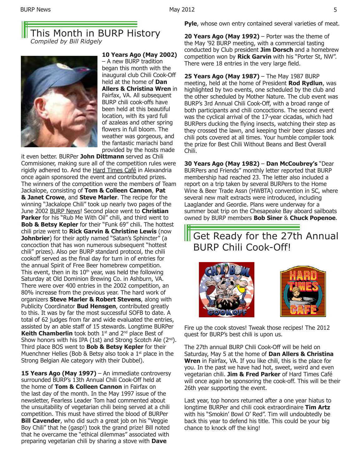### This Month in BURP History *Compiled by Bill Ridgely*



**10 Years Ago (May 2002)**  – A new BURP tradition began this month with the inaugural club Chili Cook-Off held at the home of **Dan Allers & Christina Wren** in Fairfax, VA. All subsequent BURP chili cook-offs have been held at this beautiful location, with its yard full of azaleas and other spring flowers in full bloom. The weather was gorgeous, and the fantastic mariachi band provided by the hosts made

it even better. BURPer **John Dittmann** served as Chili Commisioner, making sure all of the competition rules were rigidly adhered to. And the Hard Times Café in Alexandria once again sponsored the event and contributed prizes. The winners of the competition were the members of Team Jackalope, consisting of **Tom & Colleen Cannon**, **Pat & Janet Crowe**, and **Steve Marler**. The recipe for the winning "Jackalope Chili" took up nearly two pages of the June 2002 BURP News! Second place went to **Christian**  Parker for his "Rub Me With Oil" chili, and third went to **Bob & Betsy Kepler** for their "Funk 69" chili. The hottest chili prize went to **Rick Garvin & Christine Lewis** (now **Johnbrier**) for their aptly named "Satan's Sphincter" (a concoction that has won numerous subsequent "hottest chili" prizes). Also per BURP standard protocol, the chili cookoff served as the final day for turn in of entries for the annual Spirit of Free Beer homebrew competition. This event, then in its  $10<sup>th</sup>$  year, was held the following Saturday at Old Dominion Brewing Co. in Ashburn, VA. There were over 400 entries in the 2002 competition, an 80% increase from the previous year. The hard work of organizers **Steve Marler & Robert Stevens**, along with Publicity Coordinator **Bud Hensgen**, contributed greatly to this. It was by far the most successful SOFB to date. A total of 62 judges from far and wide evaluated the entries, assisted by an able staff of 15 stewards. Longtime BURPer **Keith Chamberlin** took both 1<sup>st</sup> and 2<sup>nd</sup> place Best of Show honors with his IPA (1st) and Strong Scotch Ale  $(2^{nd})$ . Third place BOS went to **Bob & Betsy Kepler** for their Muenchner Helles (Bob & Betsy also took a  $1<sup>st</sup>$  place in the Strong Belgian Ale category with their Dubbel).

15 Years Ago (May 1997) – An immediate controversy surrounded BURP's 13th Annual Chili Cook-Off held at the home of **Tom & Colleen Cannon** in Fairfax on the last day of the month. In the May 1997 issue of the newsletter, Fearless Leader Tom had commented about the unsuitability of vegetarian chili being served at a chili competition. This must have stirred the blood of BURPer **Bill Cavender**, who did such a great job on his "Veggie Boy Chili" that he (gasp!) took the grand prize! Bill noted that he overcame the "ethical dilemmas" associated with preparing vegetarian chili by sharing a stove with **Dave** 

**Pyle**, whose own entry contained several varieties of meat.

**20 Years Ago (May 1992)** – Porter was the theme of the May '92 BURP meeting, with a commercial tasting conducted by Club president **Jim Dorsch** and a homebrew competition won by **Rick Garvin** with his "Porter St, NW". There were 18 entries in the very large field.

**25 Years Ago (May 1987)** – The May 1987 BURP meeting, held at the home of President **Rod Rydlun**, was highlighted by two events, one scheduled by the club and the other scheduled by Mother Nature. The club event was BURP's 3rd Annual Chili Cook-Off, with a broad range of both participants and chili concoctions. The second event was the cyclical arrival of the 17-year cicadas, which had BURPers ducking the flying insects, watching their step as they crossed the lawn, and keeping their beer glasses and chili pots covered at all times. Your humble compiler took the prize for Best Chili Without Beans and Best Overall Chili.

**30 Years Ago (May 1982)** – **Dan McCoubrey's** "Dear BURPers and Friends" monthly letter reported that BURP membership had reached 23. The letter also included a report on a trip taken by several BURPers to the Home Wine & Beer Trade Assn (HWBTA) convention in SC, where several new malt extracts were introduced, including Laaglander and Geordie. Plans were underway for a summer boat trip on the Chesapeake Bay aboard sailboats owned by BURP members **Bob Siner** & **Chuck Popenoe**.

## **Sampa Exercise 13 The 27th Annual** BURP Chili Cook-Off!





Fire up the cook stoves! Tweak those recipes! The 2012 quest for BURP's best chili is upon us.

The 27th annual BURP Chili Cook-Off will be held on Saturday, May 5 at the home of **Dan Allers & Christina Wren** in Fairfax, VA. If you like chili, this is the place for you. In the past we have had hot, sweet, weird and even vegetarian chili. **Jim & Fred Parker** of Hard Times Café will once again be sponsoring the cook-off. This will be their 26th year supporting the event.

Last year, top honors returned after a one year hiatus to longtime BURPer and chili cook extraordinaire **Tim Artz** with his "Smokin' Bowl O' Red". Tim will undoubtedly be back this year to defend his title. This could be your big chance to knock off the king!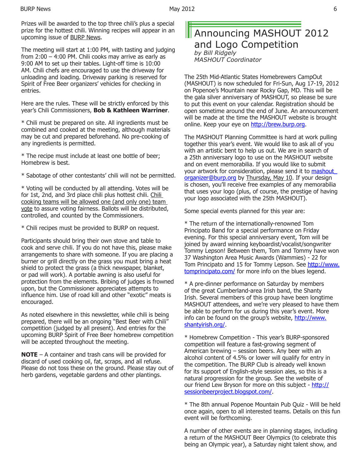Prizes will be awarded to the top three chili's plus a special prize for the hottest chili. Winning recipes will appear in an upcoming issue of BURP News.

The meeting will start at 1:00 PM, with tasting and judging from 2:00 – 4:00 PM. Chili cooks may arrive as early as 9:00 AM to set up their tables. Light-off time is 10:00 AM. Chili chefs are encouraged to use the driveway for unloading and loading. Driveway parking is reserved for Spirit of Free Beer organizers' vehicles for checking in entries.

Here are the rules. These will be strictly enforced by this year's Chili Commissioners, **Bob & Kathleen Warriner**.

\* Chili must be prepared on site. All ingredients must be combined and cooked at the meeting, although materials may be cut and prepared beforehand. No pre-cooking of any ingredients is permitted.

\* The recipe must include at least one bottle of beer; Homebrew is best.

\* Sabotage of other contestants' chili will not be permitted.

\* Voting will be conducted by all attending. Votes will be for 1st, 2nd, and 3rd place chili plus hottest chili. Chili cooking teams will be allowed one (and only one) team vote to assure voting fairness. Ballots will be distributed, controlled, and counted by the Commissioners.

\* Chili recipes must be provided to BURP on request.

Participants should bring their own stove and table to cook and serve chili. If you do not have this, please make arrangements to share with someone. If you are placing a burner or grill directly on the grass you must bring a heat shield to protect the grass (a thick newspaper, blanket, or pad will work). A portable awning is also useful for protection from the elements. Bribing of judges is frowned upon, but the Commissioner appreciates attempts to influence him. Use of road kill and other "exotic" meats is encouraged.

As noted elsewhere in this newsletter, while chili is being prepared, there will be an ongoing "Best Beer with Chili" competition (judged by all present). And entries for the upcoming BURP Spirit of Free Beer homebrew competition will be accepted throughout the meeting.

**NOTE** – A container and trash cans will be provided for discard of used cooking oil, fat, scraps, and all refuse. Please do not toss these on the ground. Please stay out of herb gardens, vegetable gardens and other plantings.

#### Announcing MASHOUT 2012 and Logo Competition *by Bill Ridgely MASHOUT Coordinator*

The 25th Mid-Atlantic States Homebrewers CampOut (MASHOUT) is now scheduled for Fri-Sun, Aug 17-19, 2012 on Popenoe's Mountain near Rocky Gap, MD. This will be the gala silver anniversary of MASHOUT, so please be sure to put this event on your calendar. Registration should be open sometime around the end of June. An announcement will be made at the time the MASHOUT website is brought online. Keep your eye on http://brew.burp.org.

The MASHOUT Planning Committee is hard at work pulling together this year's event. We would like to ask all of you with an artistic bent to help us out. We are in search of a 25th anniversary logo to use on the MASHOUT website and on event memorabilia. If you would like to submit your artwork for consideration, please send it to **mashout** organizer@burp.org by Thursday, May 10. If your design is chosen, you'll receive free examples of any memorabilia that uses your logo (plus, of course, the prestige of having your logo associated with the 25th MASHOUT).

Some special events planned for this year are:

\* The return of the internationally-renowned Tom Principato Band for a special performance on Friday evening. For this special anniversary event, Tom will be joined by award winning keyboardist/vocalist/songwriter Tommy Lepson! Between them, Tom and Tommy have won 37 Washington Area Music Awards (Wammies) - 22 for Tom Principato and 15 for Tommy Lepson. See http://www. tomprincipato.com/ for more info on the blues legend.

\* A pre-dinner performance on Saturday by members of the great Cumberland-area Irish band, the Shanty Irish. Several members of this group have been longtime MASHOUT attendees, and we're very pleased to have them be able to perform for us during this year's event. More info can be found on the group's website, http://www. shantyirish.org/.

\* Homebrew Competition - This year's BURP-sponsored competition will feature a fast-growing segment of American brewing – session beers. Any beer with an alcohol content of 4.5% or lower will qualify for entry in the competition. The BURP Club is already well known for its support of English-style session ales, so this is a natural progression for the group. See the website of our friend Lew Bryson for more on this subject - http:// sessionbeerproject.blogspot.com/.

\* The 8th annual Popenoe Mountain Pub Quiz - Will be held once again, open to all interested teams. Details on this fun event will be forthcoming.

A number of other events are in planning stages, including a return of the MASHOUT Beer Olympics (to celebrate this being an Olympic year), a Saturday night talent show, and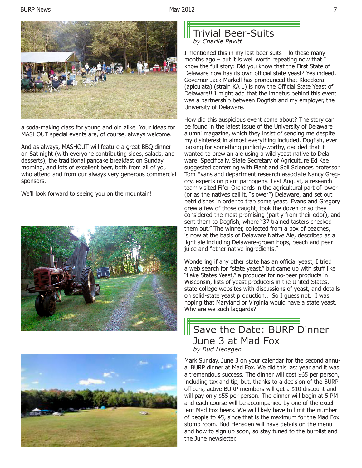

a soda-making class for young and old alike. Your ideas for MASHOUT special events are, of course, always welcome.

And as always, MASHOUT will feature a great BBQ dinner on Sat night (with everyone contributing sides, salads, and desserts), the traditional pancake breakfast on Sunday morning, and lots of excellent beer, both from all of you who attend and from our always very generous commercial sponsors.

We'll look forward to seeing you on the mountain!





## Trivial Beer-Suits *by Charlie Pavitt*

I mentioned this in my last beer-suits – lo these many months ago  $-$  but it is well worth repeating now that I know the full story: Did you know that the First State of Delaware now has its own official state yeast? Yes indeed, Governor Jack Markell has pronounced that Kloeckera (apiculata) (strain KA 1) is now the Official State Yeast of Delaware!! I might add that the impetus behind this event was a partnership between Dogfish and my employer, the University of Delaware.

How did this auspicious event come about? The story can be found in the latest issue of the University of Delaware alumni magazine, which they insist of sending me despite my disinterest in almost everything included. Dogfish, ever looking for something publicity-worthy, decided that it wanted to brew an ale using a wild yeast native to Delaware. Specifically, State Secretary of Agriculture Ed Kee suggested conferring with Plant and Soil Sciences professor Tom Evans and department research associate Nancy Gregory, experts on plant pathogens. Last August, a research team visited Fifer Orchards in the agricultural part of lower (or as the natives call it, "slower") Delaware, and set out petri dishes in order to trap some yeast. Evans and Gregory grew a few of those caught, took the dozen or so they considered the most promising (partly from their odor), and sent them to Dogfish, where "37 trained tasters checked them out." The winner, collected from a box of peaches, is now at the basis of Delaware Native Ale, described as a light ale including Delaware-grown hops, peach and pear juice and "other native ingredients."

Wondering if any other state has an official yeast, I tried a web search for "state yeast," but came up with stuff like "Lake States Yeast," a producer for no-beer products in Wisconsin, lists of yeast producers in the United States, state college websites with discussions of yeast, and details on solid-state yeast production.. So I guess not. I was hoping that Maryland or Virginia would have a state yeast. Why are we such laggards?

## Save the Date: BURP Dinner June 3 at Mad Fox *by Bud Hensgen*

Mark Sunday, June 3 on your calendar for the second annual BURP dinner at Mad Fox. We did this last year and it was a tremendous success. The dinner will cost \$65 per person, including tax and tip, but, thanks to a decision of the BURP officers, active BURP members will get a \$10 discount and will pay only \$55 per person. The dinner will begin at 5 PM and each course will be accompanied by one of the excellent Mad Fox beers. We will likely have to limit the number of people to 45, since that is the maximum for the Mad Fox stomp room. Bud Hensgen will have details on the menu and how to sign up soon, so stay tuned to the burplist and the June newsletter.